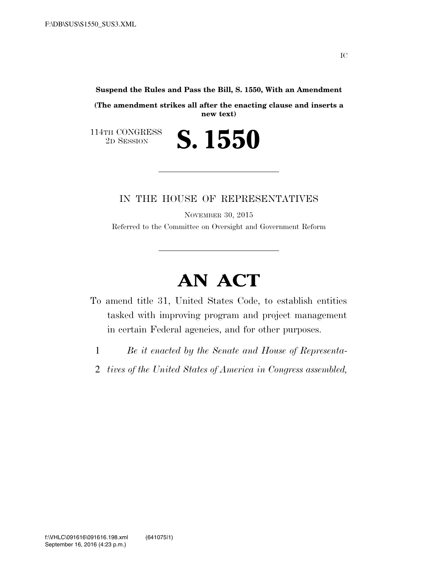**Suspend the Rules and Pass the Bill, S. 1550, With an Amendment** 

**(The amendment strikes all after the enacting clause and inserts a new text)** 

2D SESSION **S. 1550** 

114TH CONGRESS<br>2D SESSION

### IN THE HOUSE OF REPRESENTATIVES

NOVEMBER 30, 2015 Referred to the Committee on Oversight and Government Reform

# **AN ACT**

- To amend title 31, United States Code, to establish entities tasked with improving program and project management in certain Federal agencies, and for other purposes.
	- 1 *Be it enacted by the Senate and House of Representa-*
	- 2 *tives of the United States of America in Congress assembled,*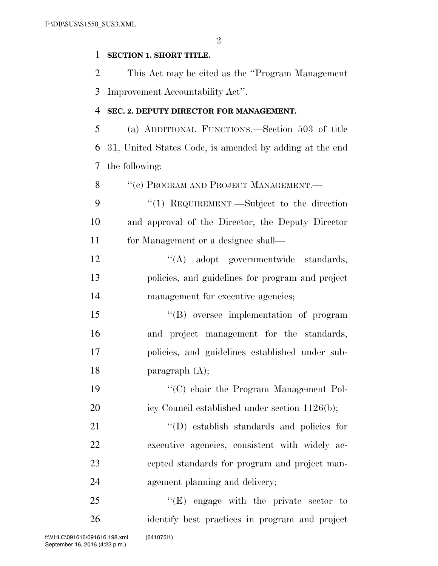$\mathfrak{D}$ 

#### **SECTION 1. SHORT TITLE.**

 This Act may be cited as the ''Program Management Improvement Accountability Act''.

#### **SEC. 2. DEPUTY DIRECTOR FOR MANAGEMENT.**

 (a) ADDITIONAL FUNCTIONS.—Section 503 of title 31, United States Code, is amended by adding at the end the following:

8 "(c) PROGRAM AND PROJECT MANAGEMENT.—

9 "(1) REQUIREMENT.—Subject to the direction and approval of the Director, the Deputy Director for Management or a designee shall—

12 "(A) adopt governmentwide standards, policies, and guidelines for program and project 14 management for executive agencies;

 ''(B) oversee implementation of program and project management for the standards, policies, and guidelines established under sub-paragraph (A);

 ''(C) chair the Program Management Pol-20 icy Council established under section 1126(b);

 $\text{``(D) establish standards and policies for}$  executive agencies, consistent with widely ac- cepted standards for program and project man-agement planning and delivery;

25 "'(E) engage with the private sector to identify best practices in program and project f:\VHLC\091616\091616.198.xml (641075|1)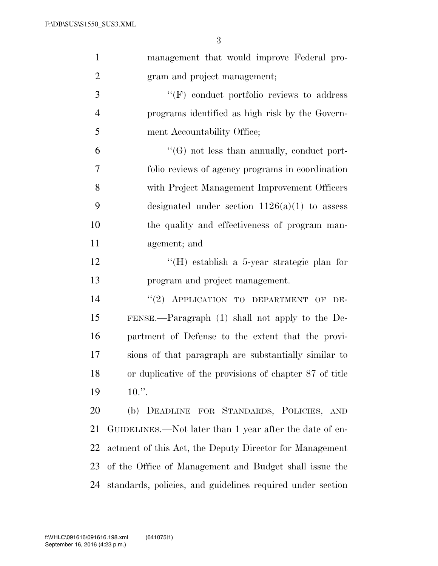| $\mathbf{1}$   | management that would improve Federal pro-                 |
|----------------|------------------------------------------------------------|
| $\overline{2}$ | gram and project management;                               |
| 3              | $\lq\lq(F)$ conduct portfolio reviews to address           |
| $\overline{4}$ | programs identified as high risk by the Govern-            |
| 5              | ment Accountability Office;                                |
| 6              | $\lq\lq(G)$ not less than annually, conduct port-          |
| 7              | folio reviews of agency programs in coordination           |
| 8              | with Project Management Improvement Officers               |
| 9              | designated under section $1126(a)(1)$ to assess            |
| 10             | the quality and effectiveness of program man-              |
| 11             | agement; and                                               |
| 12             | "(H) establish a 5-year strategic plan for                 |
| 13             | program and project management.                            |
| 14             | "(2) APPLICATION TO DEPARTMENT OF<br>DE-                   |
| 15             | FENSE.—Paragraph (1) shall not apply to the De-            |
| 16             | partment of Defense to the extent that the provi-          |
| 17             | sions of that paragraph are substantially similar to       |
| 18             | or duplicative of the provisions of chapter 87 of title    |
| 19             | $10.$ ".                                                   |
| 20             | (b) DEADLINE FOR STANDARDS, POLICIES, AND                  |
| 21             | GUIDELINES.—Not later than 1 year after the date of en-    |
| 22             | actment of this Act, the Deputy Director for Management    |
| 23             | of the Office of Management and Budget shall issue the     |
| 24             | standards, policies, and guidelines required under section |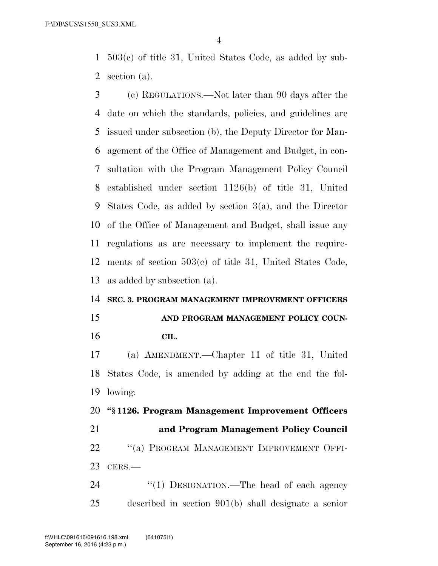503(c) of title 31, United States Code, as added by sub-section (a).

 (c) REGULATIONS.—Not later than 90 days after the date on which the standards, policies, and guidelines are issued under subsection (b), the Deputy Director for Man- agement of the Office of Management and Budget, in con- sultation with the Program Management Policy Council established under section 1126(b) of title 31, United States Code, as added by section 3(a), and the Director of the Office of Management and Budget, shall issue any regulations as are necessary to implement the require- ments of section 503(c) of title 31, United States Code, as added by subsection (a).

## **SEC. 3. PROGRAM MANAGEMENT IMPROVEMENT OFFICERS**

 **AND PROGRAM MANAGEMENT POLICY COUN-CIL.** 

 (a) AMENDMENT.—Chapter 11 of title 31, United States Code, is amended by adding at the end the fol-lowing:

 **''§ 1126. Program Management Improvement Officers and Program Management Policy Council**  22 "(a) PROGRAM MANAGEMENT IMPROVEMENT OFFI- CERS.— 24 "(1) DESIGNATION.—The head of each agency

described in section 901(b) shall designate a senior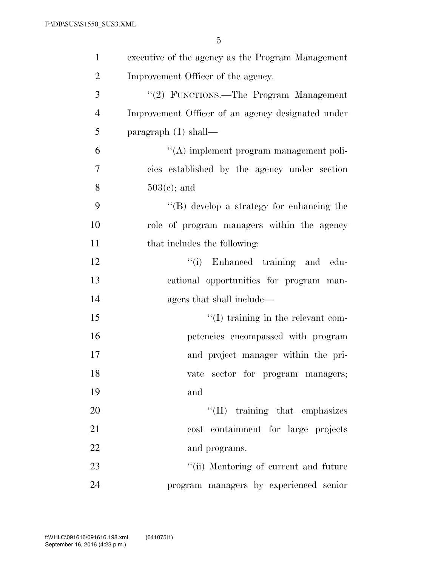| $\mathbf{1}$   | executive of the agency as the Program Management |
|----------------|---------------------------------------------------|
| $\overline{2}$ | Improvement Officer of the agency.                |
| 3              | "(2) FUNCTIONS.—The Program Management            |
| $\overline{4}$ | Improvement Officer of an agency designated under |
| 5              | paragraph $(1)$ shall—                            |
| 6              | $\lq\lq$ implement program management poli-       |
| $\overline{7}$ | cies established by the agency under section      |
| 8              | $503(c)$ ; and                                    |
| 9              | $\lq\lq (B)$ develop a strategy for enhancing the |
| 10             | role of program managers within the agency        |
| 11             | that includes the following:                      |
| 12             | "(i) Enhanced training and edu-                   |
| 13             | cational opportunities for program man-           |
| 14             | agers that shall include—                         |
| 15             | $\lq\lq$ training in the relevant com-            |
| 16             | petencies encompassed with program                |
| 17             | and project manager within the pri-               |
| 18             | vate sector for program managers;                 |
| 19             | and                                               |
| 20             | $\lq\lq$ (II) training that emphasizes            |
| 21             | cost containment for large projects               |
| 22             | and programs.                                     |
| 23             | "(ii) Mentoring of current and future             |
| 24             | program managers by experienced senior            |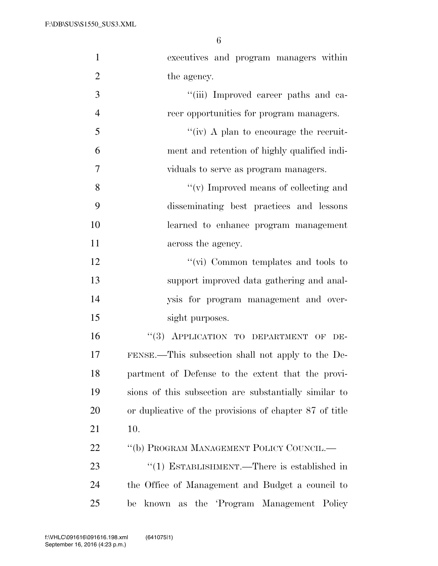| $\mathbf{1}$   | executives and program managers within                  |
|----------------|---------------------------------------------------------|
| $\overline{2}$ | the agency.                                             |
| 3              | "(iii) Improved career paths and ca-                    |
| $\overline{4}$ | reer opportunities for program managers.                |
| 5              | "(iv) A plan to encourage the recruit-                  |
| 6              | ment and retention of highly qualified indi-            |
| 7              | viduals to serve as program managers.                   |
| 8              | $\lq\lq$ (v) Improved means of collecting and           |
| 9              | disseminating best practices and lessons                |
| 10             | learned to enhance program management                   |
| 11             | across the agency.                                      |
| 12             | " $(vi)$ Common templates and tools to                  |
| 13             | support improved data gathering and anal-               |
| 14             | ysis for program management and over-                   |
| 15             | sight purposes.                                         |
| 16             | "(3) APPLICATION TO DEPARTMENT OF DE-                   |
| 17             | FENSE.—This subsection shall not apply to the De-       |
| 18             | partment of Defense to the extent that the provi-       |
| 19             | sions of this subsection are substantially similar to   |
| 20             | or duplicative of the provisions of chapter 87 of title |
| 21             | 10.                                                     |
| 22             | "(b) PROGRAM MANAGEMENT POLICY COUNCIL.—                |
| 23             | "(1) ESTABLISHMENT.—There is established in             |
| 24             | the Office of Management and Budget a council to        |
| 25             | as the 'Program Management Policy<br>known<br>be        |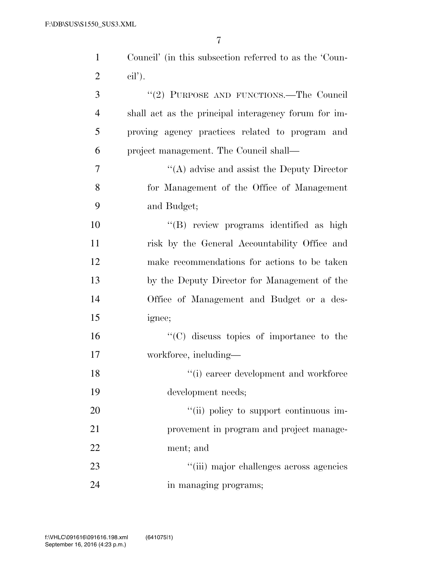| $\mathbf{1}$   | Council' (in this subsection referred to as the 'Coun- |
|----------------|--------------------------------------------------------|
| $\overline{2}$ | $\text{cil}$ .                                         |
| 3              | "(2) PURPOSE AND FUNCTIONS.—The Council                |
| $\overline{4}$ | shall act as the principal interagency forum for im-   |
| 5              | proving agency practices related to program and        |
| 6              | project management. The Council shall—                 |
| 7              | $\lq\lq$ advise and assist the Deputy Director         |
| 8              | for Management of the Office of Management             |
| 9              | and Budget;                                            |
| 10             | "(B) review programs identified as high                |
| 11             | risk by the General Accountability Office and          |
| 12             | make recommendations for actions to be taken           |
| 13             | by the Deputy Director for Management of the           |
| 14             | Office of Management and Budget or a des-              |
| 15             | ignee;                                                 |
| 16             | "(C) discuss topics of importance to the               |
| 17             | workforce, including—                                  |
| 18             | $"$ (i) career development and workforce               |
| 19             | development needs;                                     |
| 20             | "(ii) policy to support continuous im-                 |
| 21             | provement in program and project manage-               |
| 22             | ment; and                                              |
| 23             | "(iii) major challenges across agencies                |
| 24             | in managing programs;                                  |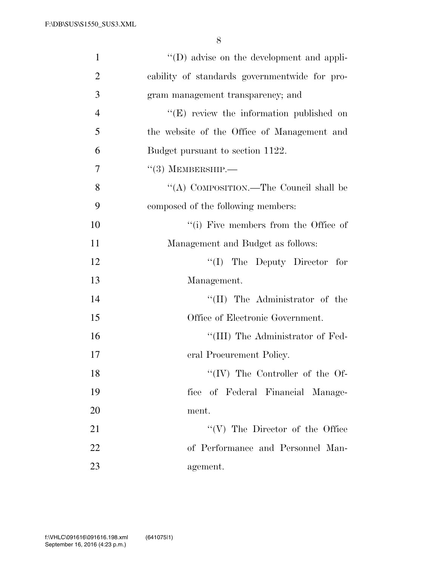| $\mathbf{1}$   | $\lq\lq$ advise on the development and appli- |
|----------------|-----------------------------------------------|
| $\overline{2}$ | cability of standards governmentwide for pro- |
| 3              | gram management transparency; and             |
| $\overline{4}$ | "(E) review the information published on      |
| 5              | the website of the Office of Management and   |
| 6              | Budget pursuant to section 1122.              |
| 7              | $\cdot\cdot(3)$ MEMBERSHIP.—                  |
| 8              | "(A) COMPOSITION.—The Council shall be        |
| 9              | composed of the following members:            |
| 10             | "(i) Five members from the Office of          |
| 11             | Management and Budget as follows:             |
| 12             | $\lq\lq$ (I) The Deputy Director for          |
| 13             | Management.                                   |
| 14             | $\lq\lq$ (II) The Administrator of the        |
| 15             | Office of Electronic Government.              |
| 16             | "(III) The Administrator of Fed-              |
| 17             | eral Procurement Policy.                      |
| 18             | "(IV) The Controller of the Of-               |
| 19             | fice of Federal Financial Manage-             |
| 20             | ment.                                         |
| 21             | $``(V)$ The Director of the Office            |
| 22             | of Performance and Personnel Man-             |
| 23             | agement.                                      |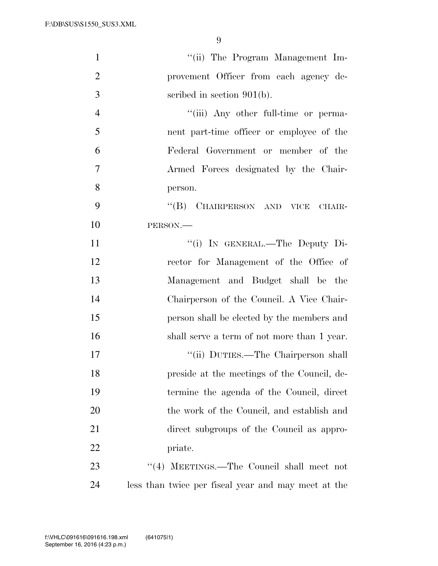| $\mathbf{1}$   | "(ii) The Program Management Im-                    |
|----------------|-----------------------------------------------------|
| $\overline{2}$ | provement Officer from each agency de-              |
| 3              | scribed in section $901(b)$ .                       |
| $\overline{4}$ | "(iii) Any other full-time or perma-                |
| 5              | nent part-time officer or employee of the           |
| 6              | Federal Government or member of the                 |
| $\overline{7}$ | Armed Forces designated by the Chair-               |
| 8              | person.                                             |
| 9              | "(B) CHAIRPERSON AND VICE CHAIR-                    |
| 10             | PERSON.                                             |
| 11             | "(i) IN GENERAL.—The Deputy Di-                     |
| 12             | rector for Management of the Office of              |
| 13             | Management and Budget shall be the                  |
| 14             | Chairperson of the Council. A Vice Chair-           |
| 15             | person shall be elected by the members and          |
| 16             | shall serve a term of not more than 1 year.         |
| 17             | "(ii) DUTIES.—The Chairperson shall                 |
| 18             | preside at the meetings of the Council, de-         |
| 19             | termine the agenda of the Council, direct           |
| 20             | the work of the Council, and establish and          |
| 21             | direct subgroups of the Council as appro-           |
| 22             | priate.                                             |
| 23             | "(4) MEETINGS.—The Council shall meet not           |
| 24             | less than twice per fiscal year and may meet at the |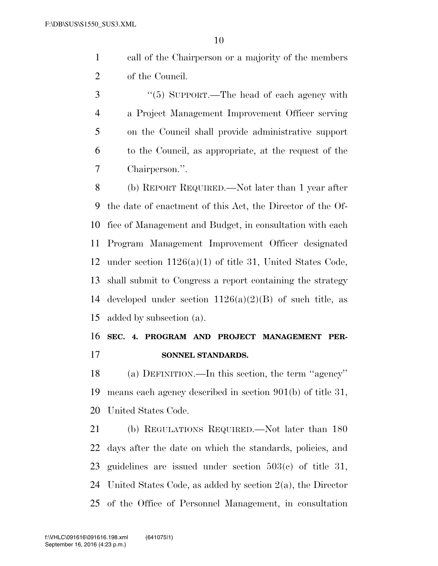call of the Chairperson or a majority of the members of the Council.

 ''(5) SUPPORT.—The head of each agency with a Project Management Improvement Officer serving on the Council shall provide administrative support to the Council, as appropriate, at the request of the Chairperson.''.

 (b) REPORT REQUIRED.—Not later than 1 year after the date of enactment of this Act, the Director of the Of- fice of Management and Budget, in consultation with each Program Management Improvement Officer designated under section 1126(a)(1) of title 31, United States Code, shall submit to Congress a report containing the strategy 14 developed under section  $1126(a)(2)(B)$  of such title, as added by subsection (a).

# **SEC. 4. PROGRAM AND PROJECT MANAGEMENT PER-SONNEL STANDARDS.**

 (a) DEFINITION.—In this section, the term ''agency'' means each agency described in section 901(b) of title 31, United States Code.

 (b) REGULATIONS REQUIRED.—Not later than 180 days after the date on which the standards, policies, and guidelines are issued under section 503(c) of title 31, United States Code, as added by section 2(a), the Director of the Office of Personnel Management, in consultation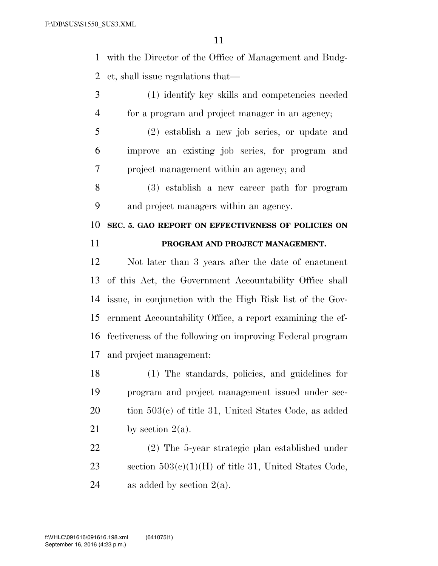with the Director of the Office of Management and Budg-et, shall issue regulations that—

- (1) identify key skills and competencies needed for a program and project manager in an agency;
- (2) establish a new job series, or update and improve an existing job series, for program and project management within an agency; and
- (3) establish a new career path for program and project managers within an agency.

 **SEC. 5. GAO REPORT ON EFFECTIVENESS OF POLICIES ON PROGRAM AND PROJECT MANAGEMENT.** 

 Not later than 3 years after the date of enactment of this Act, the Government Accountability Office shall issue, in conjunction with the High Risk list of the Gov- ernment Accountability Office, a report examining the ef- fectiveness of the following on improving Federal program and project management:

 (1) The standards, policies, and guidelines for program and project management issued under sec-20 tion 503(c) of title 31, United States Code, as added 21 by section  $2(a)$ .

 (2) The 5-year strategic plan established under 23 section  $503(e)(1)(H)$  of title 31, United States Code, 24 as added by section  $2(a)$ .